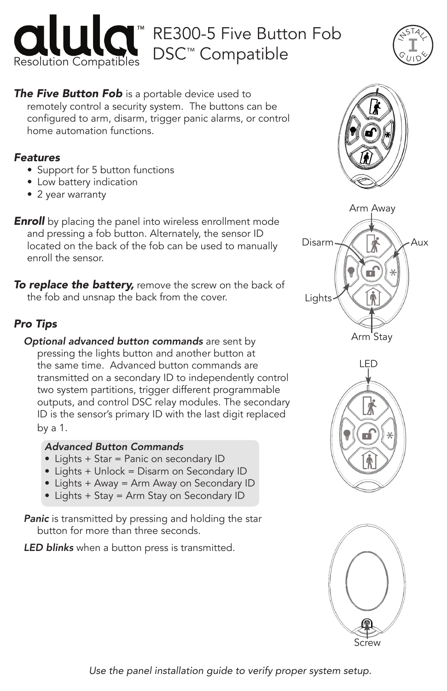



### **The Five Button Fob** is a portable device used to remotely control a security system. The buttons can be

configured to arm, disarm, trigger panic alarms, or control home automation functions.

## *Features*

- Support for 5 button functions
- Low battery indication
- 2 year warranty

**Enroll** by placing the panel into wireless enrollment mode and pressing a fob button. Alternately, the sensor ID located on the back of the fob can be used to manually enroll the sensor.

*To replace the battery,* remove the screw on the back of the fob and unsnap the back from the cover.

# *Pro Tips*

*Optional advanced button commands* are sent by pressing the lights button and another button at the same time. Advanced button commands are transmitted on a secondary ID to independently control two system partitions, trigger different programmable outputs, and control DSC relay modules. The secondary ID is the sensor's primary ID with the last digit replaced by a 1.

## *Advanced Button Commands*

- Lights + Star = Panic on secondary ID
- Lights + Unlock = Disarm on Secondary ID
- Lights + Away = Arm Away on Secondary ID
- Lights + Stay = Arm Stay on Secondary ID

**Panic** is transmitted by pressing and holding the star button for more than three seconds.

*LED blinks* when a button press is transmitted.